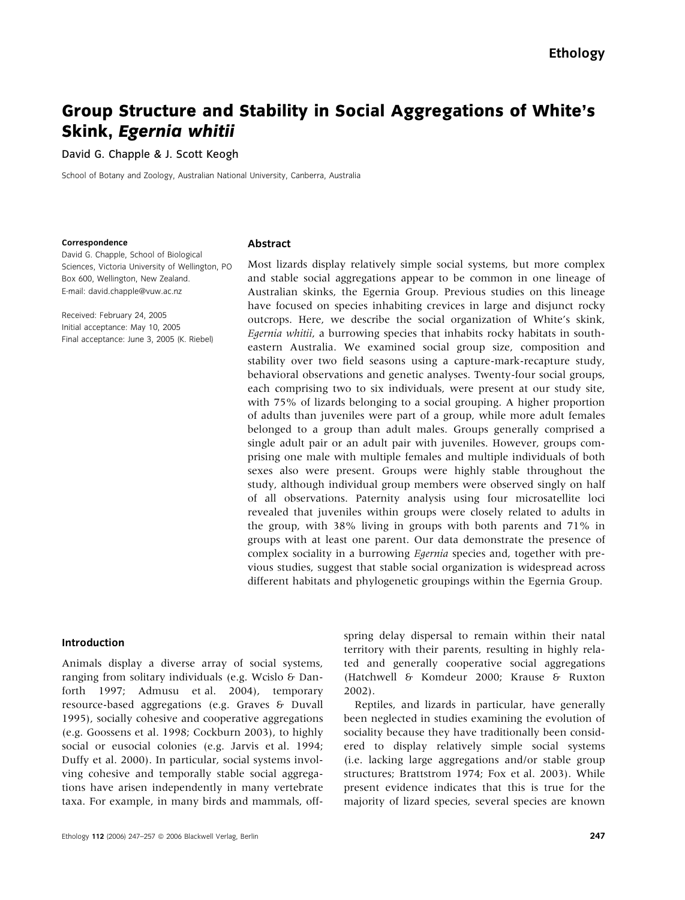# Group Structure and Stability in Social Aggregations of White's Skink, Egernia whitii

David G. Chapple & J. Scott Keogh

School of Botany and Zoology, Australian National University, Canberra, Australia

#### Correspondence

David G. Chapple, School of Biological Sciences, Victoria University of Wellington, PO Box 600, Wellington, New Zealand. E-mail: david.chapple@vuw.ac.nz

Received: February 24, 2005 Initial acceptance: May 10, 2005 Final acceptance: June 3, 2005 (K. Riebel)

#### Abstract

Most lizards display relatively simple social systems, but more complex and stable social aggregations appear to be common in one lineage of Australian skinks, the Egernia Group. Previous studies on this lineage have focused on species inhabiting crevices in large and disjunct rocky outcrops. Here, we describe the social organization of White's skink, Egernia whitii, a burrowing species that inhabits rocky habitats in southeastern Australia. We examined social group size, composition and stability over two field seasons using a capture-mark-recapture study, behavioral observations and genetic analyses. Twenty-four social groups, each comprising two to six individuals, were present at our study site, with 75% of lizards belonging to a social grouping. A higher proportion of adults than juveniles were part of a group, while more adult females belonged to a group than adult males. Groups generally comprised a single adult pair or an adult pair with juveniles. However, groups comprising one male with multiple females and multiple individuals of both sexes also were present. Groups were highly stable throughout the study, although individual group members were observed singly on half of all observations. Paternity analysis using four microsatellite loci revealed that juveniles within groups were closely related to adults in the group, with 38% living in groups with both parents and 71% in groups with at least one parent. Our data demonstrate the presence of complex sociality in a burrowing Egernia species and, together with previous studies, suggest that stable social organization is widespread across different habitats and phylogenetic groupings within the Egernia Group.

#### Introduction

Animals display a diverse array of social systems, ranging from solitary individuals (e.g. Wcislo & Danforth 1997; Admusu et al. 2004), temporary resource-based aggregations (e.g. Graves & Duvall 1995), socially cohesive and cooperative aggregations (e.g. Goossens et al. 1998; Cockburn 2003), to highly social or eusocial colonies (e.g. Jarvis et al. 1994; Duffy et al. 2000). In particular, social systems involving cohesive and temporally stable social aggregations have arisen independently in many vertebrate taxa. For example, in many birds and mammals, offspring delay dispersal to remain within their natal territory with their parents, resulting in highly related and generally cooperative social aggregations (Hatchwell & Komdeur 2000; Krause & Ruxton 2002).

Reptiles, and lizards in particular, have generally been neglected in studies examining the evolution of sociality because they have traditionally been considered to display relatively simple social systems (i.e. lacking large aggregations and/or stable group structures; Brattstrom 1974; Fox et al. 2003). While present evidence indicates that this is true for the majority of lizard species, several species are known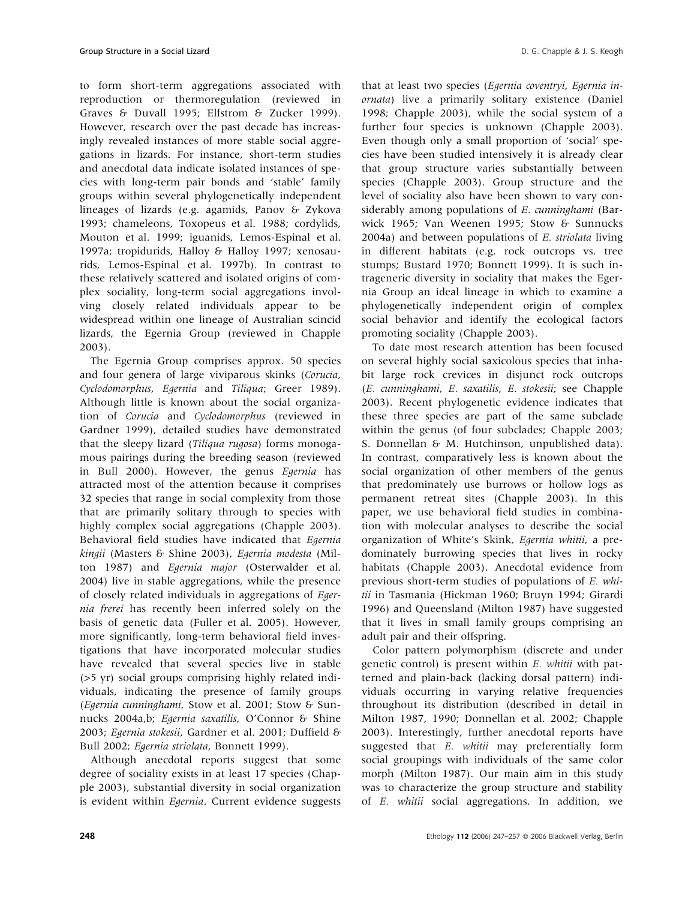to form short-term aggregations associated with reproduction or thermoregulation (reviewed in Graves & Duvall 1995; Elfstrom & Zucker 1999). However, research over the past decade has increasingly revealed instances of more stable social aggregations in lizards. For instance, short-term studies and anecdotal data indicate isolated instances of species with long-term pair bonds and 'stable' family groups within several phylogenetically independent lineages of lizards (e.g. agamids, Panov & Zykova 1993; chameleons, Toxopeus et al. 1988; cordylids, Mouton et al. 1999; iguanids, Lemos-Espinal et al. 1997a; tropidurids, Halloy & Halloy 1997; xenosaurids, Lemos-Espinal et al. 1997b). In contrast to these relatively scattered and isolated origins of complex sociality, long-term social aggregations involving closely related individuals appear to be widespread within one lineage of Australian scincid lizards, the Egernia Group (reviewed in Chapple 2003).

The Egernia Group comprises approx. 50 species and four genera of large viviparous skinks (Corucia, Cyclodomorphus, Egernia and Tiliqua; Greer 1989). Although little is known about the social organization of Corucia and Cyclodomorphus (reviewed in Gardner 1999), detailed studies have demonstrated that the sleepy lizard (Tiliqua rugosa) forms monogamous pairings during the breeding season (reviewed in Bull 2000). However, the genus Egernia has attracted most of the attention because it comprises 32 species that range in social complexity from those that are primarily solitary through to species with highly complex social aggregations (Chapple 2003). Behavioral field studies have indicated that Egernia kingii (Masters & Shine 2003), Egernia modesta (Milton 1987) and Egernia major (Osterwalder et al. 2004) live in stable aggregations, while the presence of closely related individuals in aggregations of Egernia frerei has recently been inferred solely on the basis of genetic data (Fuller et al. 2005). However, more significantly, long-term behavioral field investigations that have incorporated molecular studies have revealed that several species live in stable (>5 yr) social groups comprising highly related individuals, indicating the presence of family groups (Egernia cunninghami, Stow et al. 2001; Stow & Sunnucks 2004a,b; Egernia saxatilis, O'Connor & Shine 2003; Egernia stokesii, Gardner et al. 2001; Duffield & Bull 2002; Egernia striolata, Bonnett 1999).

Although anecdotal reports suggest that some degree of sociality exists in at least 17 species (Chapple 2003), substantial diversity in social organization is evident within Egernia. Current evidence suggests

that at least two species (Egernia coventryi, Egernia inornata) live a primarily solitary existence (Daniel 1998; Chapple 2003), while the social system of a further four species is unknown (Chapple 2003). Even though only a small proportion of 'social' species have been studied intensively it is already clear that group structure varies substantially between species (Chapple 2003). Group structure and the level of sociality also have been shown to vary considerably among populations of E. cunninghami (Barwick 1965; Van Weenen 1995; Stow & Sunnucks 2004a) and between populations of  $E$ . striolata living in different habitats (e.g. rock outcrops vs. tree stumps; Bustard 1970; Bonnett 1999). It is such intrageneric diversity in sociality that makes the Egernia Group an ideal lineage in which to examine a phylogenetically independent origin of complex social behavior and identify the ecological factors promoting sociality (Chapple 2003).

To date most research attention has been focused on several highly social saxicolous species that inhabit large rock crevices in disjunct rock outcrops (E. cunninghami, E. saxatilis, E. stokesii; see Chapple 2003). Recent phylogenetic evidence indicates that these three species are part of the same subclade within the genus (of four subclades; Chapple 2003; S. Donnellan & M. Hutchinson, unpublished data). In contrast, comparatively less is known about the social organization of other members of the genus that predominately use burrows or hollow logs as permanent retreat sites (Chapple 2003). In this paper, we use behavioral field studies in combination with molecular analyses to describe the social organization of White's Skink, Egernia whitii, a predominately burrowing species that lives in rocky habitats (Chapple 2003). Anecdotal evidence from previous short-term studies of populations of E. whitii in Tasmania (Hickman 1960; Bruyn 1994; Girardi 1996) and Queensland (Milton 1987) have suggested that it lives in small family groups comprising an adult pair and their offspring.

Color pattern polymorphism (discrete and under genetic control) is present within  $E$ . whitii with patterned and plain-back (lacking dorsal pattern) individuals occurring in varying relative frequencies throughout its distribution (described in detail in Milton 1987, 1990; Donnellan et al. 2002; Chapple 2003). Interestingly, further anecdotal reports have suggested that *E. whitii* may preferentially form social groupings with individuals of the same color morph (Milton 1987). Our main aim in this study was to characterize the group structure and stability of E. whitii social aggregations. In addition, we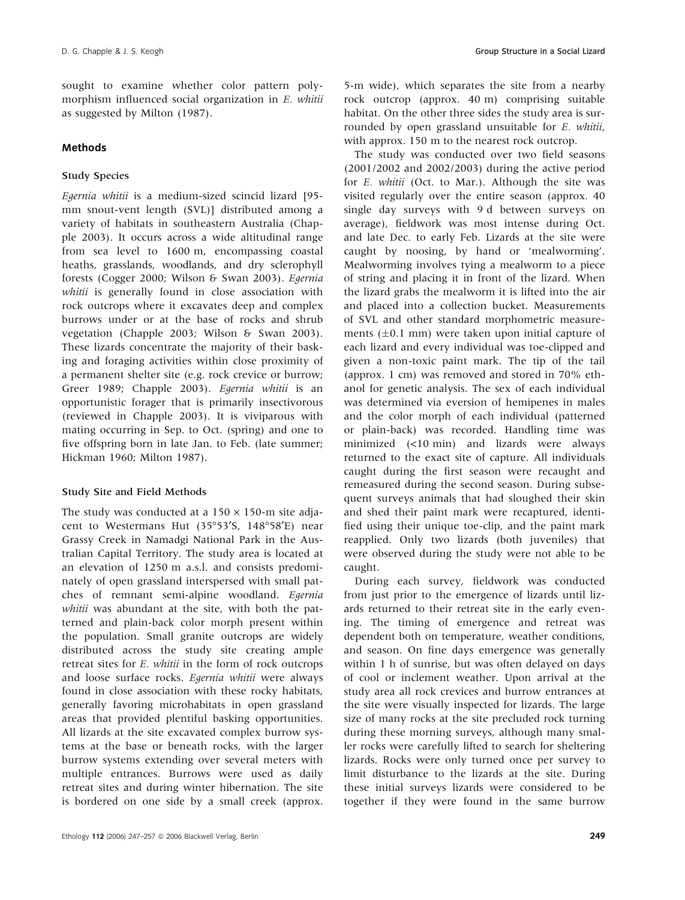sought to examine whether color pattern polymorphism influenced social organization in E. whitii as suggested by Milton (1987).

## Methods

## Study Species

Egernia whitii is a medium-sized scincid lizard [95 mm snout-vent length (SVL)] distributed among a variety of habitats in southeastern Australia (Chapple 2003). It occurs across a wide altitudinal range from sea level to 1600 m, encompassing coastal heaths, grasslands, woodlands, and dry sclerophyll forests (Cogger 2000; Wilson & Swan 2003). Egernia whitii is generally found in close association with rock outcrops where it excavates deep and complex burrows under or at the base of rocks and shrub vegetation (Chapple 2003; Wilson & Swan 2003). These lizards concentrate the majority of their basking and foraging activities within close proximity of a permanent shelter site (e.g. rock crevice or burrow; Greer 1989; Chapple 2003). Egernia whitii is an opportunistic forager that is primarily insectivorous (reviewed in Chapple 2003). It is viviparous with mating occurring in Sep. to Oct. (spring) and one to five offspring born in late Jan. to Feb. (late summer; Hickman 1960; Milton 1987).

## Study Site and Field Methods

The study was conducted at a  $150 \times 150$ -m site adjacent to Westermans Hut (35°53'S, 148°58'E) near Grassy Creek in Namadgi National Park in the Australian Capital Territory. The study area is located at an elevation of 1250 m a.s.l. and consists predominately of open grassland interspersed with small patches of remnant semi-alpine woodland. Egernia whitii was abundant at the site, with both the patterned and plain-back color morph present within the population. Small granite outcrops are widely distributed across the study site creating ample retreat sites for E. whitii in the form of rock outcrops and loose surface rocks. Egernia whitii were always found in close association with these rocky habitats, generally favoring microhabitats in open grassland areas that provided plentiful basking opportunities. All lizards at the site excavated complex burrow systems at the base or beneath rocks, with the larger burrow systems extending over several meters with multiple entrances. Burrows were used as daily retreat sites and during winter hibernation. The site is bordered on one side by a small creek (approx.

5-m wide), which separates the site from a nearby rock outcrop (approx. 40 m) comprising suitable habitat. On the other three sides the study area is surrounded by open grassland unsuitable for E. whitii, with approx. 150 m to the nearest rock outcrop.

The study was conducted over two field seasons (2001/2002 and 2002/2003) during the active period for E. whitii (Oct. to Mar.). Although the site was visited regularly over the entire season (approx. 40 single day surveys with 9 d between surveys on average), fieldwork was most intense during Oct. and late Dec. to early Feb. Lizards at the site were caught by noosing, by hand or 'mealworming'. Mealworming involves tying a mealworm to a piece of string and placing it in front of the lizard. When the lizard grabs the mealworm it is lifted into the air and placed into a collection bucket. Measurements of SVL and other standard morphometric measurements  $(\pm 0.1 \text{ mm})$  were taken upon initial capture of each lizard and every individual was toe-clipped and given a non-toxic paint mark. The tip of the tail (approx. 1 cm) was removed and stored in 70% ethanol for genetic analysis. The sex of each individual was determined via eversion of hemipenes in males and the color morph of each individual (patterned or plain-back) was recorded. Handling time was minimized (<10 min) and lizards were always returned to the exact site of capture. All individuals caught during the first season were recaught and remeasured during the second season. During subsequent surveys animals that had sloughed their skin and shed their paint mark were recaptured, identified using their unique toe-clip, and the paint mark reapplied. Only two lizards (both juveniles) that were observed during the study were not able to be caught.

During each survey, fieldwork was conducted from just prior to the emergence of lizards until lizards returned to their retreat site in the early evening. The timing of emergence and retreat was dependent both on temperature, weather conditions, and season. On fine days emergence was generally within 1 h of sunrise, but was often delayed on days of cool or inclement weather. Upon arrival at the study area all rock crevices and burrow entrances at the site were visually inspected for lizards. The large size of many rocks at the site precluded rock turning during these morning surveys, although many smaller rocks were carefully lifted to search for sheltering lizards. Rocks were only turned once per survey to limit disturbance to the lizards at the site. During these initial surveys lizards were considered to be together if they were found in the same burrow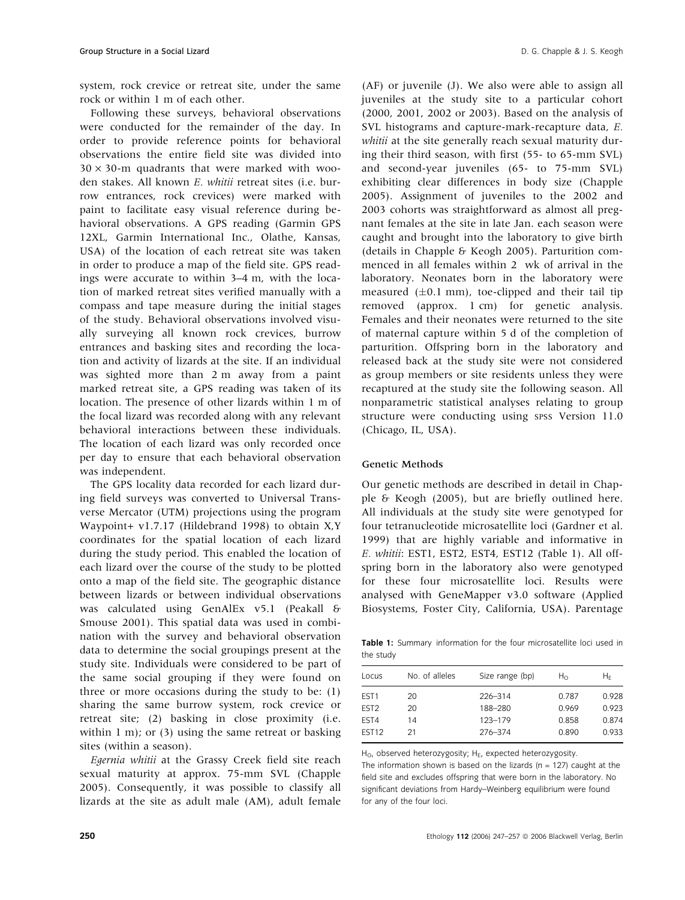system, rock crevice or retreat site, under the same rock or within 1 m of each other.

Following these surveys, behavioral observations were conducted for the remainder of the day. In order to provide reference points for behavioral observations the entire field site was divided into  $30 \times 30$ -m quadrants that were marked with wooden stakes. All known E. whitii retreat sites (i.e. burrow entrances, rock crevices) were marked with paint to facilitate easy visual reference during behavioral observations. A GPS reading (Garmin GPS 12XL, Garmin International Inc., Olathe, Kansas, USA) of the location of each retreat site was taken in order to produce a map of the field site. GPS readings were accurate to within 3–4 m, with the location of marked retreat sites verified manually with a compass and tape measure during the initial stages of the study. Behavioral observations involved visually surveying all known rock crevices, burrow entrances and basking sites and recording the location and activity of lizards at the site. If an individual was sighted more than 2 m away from a paint marked retreat site, a GPS reading was taken of its location. The presence of other lizards within 1 m of the focal lizard was recorded along with any relevant behavioral interactions between these individuals. The location of each lizard was only recorded once per day to ensure that each behavioral observation was independent.

The GPS locality data recorded for each lizard during field surveys was converted to Universal Transverse Mercator (UTM) projections using the program Waypoint+ v1.7.17 (Hildebrand 1998) to obtain X,Y coordinates for the spatial location of each lizard during the study period. This enabled the location of each lizard over the course of the study to be plotted onto a map of the field site. The geographic distance between lizards or between individual observations was calculated using GenAlEx v5.1 (Peakall & Smouse 2001). This spatial data was used in combination with the survey and behavioral observation data to determine the social groupings present at the study site. Individuals were considered to be part of the same social grouping if they were found on three or more occasions during the study to be: (1) sharing the same burrow system, rock crevice or retreat site; (2) basking in close proximity (i.e. within 1 m); or (3) using the same retreat or basking sites (within a season).

Egernia whitii at the Grassy Creek field site reach sexual maturity at approx. 75-mm SVL (Chapple 2005). Consequently, it was possible to classify all lizards at the site as adult male (AM), adult female

(AF) or juvenile (J). We also were able to assign all juveniles at the study site to a particular cohort (2000, 2001, 2002 or 2003). Based on the analysis of SVL histograms and capture-mark-recapture data, E. whitii at the site generally reach sexual maturity during their third season, with first (55- to 65-mm SVL) and second-year juveniles (65- to 75-mm SVL) exhibiting clear differences in body size (Chapple 2005). Assignment of juveniles to the 2002 and 2003 cohorts was straightforward as almost all pregnant females at the site in late Jan. each season were caught and brought into the laboratory to give birth (details in Chapple & Keogh 2005). Parturition commenced in all females within 2 wk of arrival in the laboratory. Neonates born in the laboratory were measured  $(\pm 0.1 \text{ mm})$ , toe-clipped and their tail tip removed (approx. 1 cm) for genetic analysis. Females and their neonates were returned to the site of maternal capture within 5 d of the completion of parturition. Offspring born in the laboratory and released back at the study site were not considered as group members or site residents unless they were recaptured at the study site the following season. All nonparametric statistical analyses relating to group structure were conducting using spss Version 11.0 (Chicago, IL, USA).

#### Genetic Methods

Our genetic methods are described in detail in Chapple & Keogh (2005), but are briefly outlined here. All individuals at the study site were genotyped for four tetranucleotide microsatellite loci (Gardner et al. 1999) that are highly variable and informative in E. whitii: EST1, EST2, EST4, EST12 (Table 1). All offspring born in the laboratory also were genotyped for these four microsatellite loci. Results were analysed with GeneMapper v3.0 software (Applied Biosystems, Foster City, California, USA). Parentage

Table 1: Summary information for the four microsatellite loci used in the study

| Locus             | No. of alleles | Size range (bp) | $H_{\Omega}$ | HF.   |
|-------------------|----------------|-----------------|--------------|-------|
| EST <sub>1</sub>  | 20             | $226 - 314$     | 0.787        | 0.928 |
| EST <sub>2</sub>  | 20             | 188-280         | 0.969        | 0.923 |
| EST4              | 14             | 123-179         | 0.858        | 0.874 |
| EST <sub>12</sub> | 21             | 276-374         | 0.890        | 0.933 |
|                   |                |                 |              |       |

 $H<sub>O</sub>$ , observed heterozygosity;  $H<sub>E</sub>$ , expected heterozygosity. The information shown is based on the lizards ( $n = 127$ ) caught at the field site and excludes offspring that were born in the laboratory. No significant deviations from Hardy–Weinberg equilibrium were found for any of the four loci.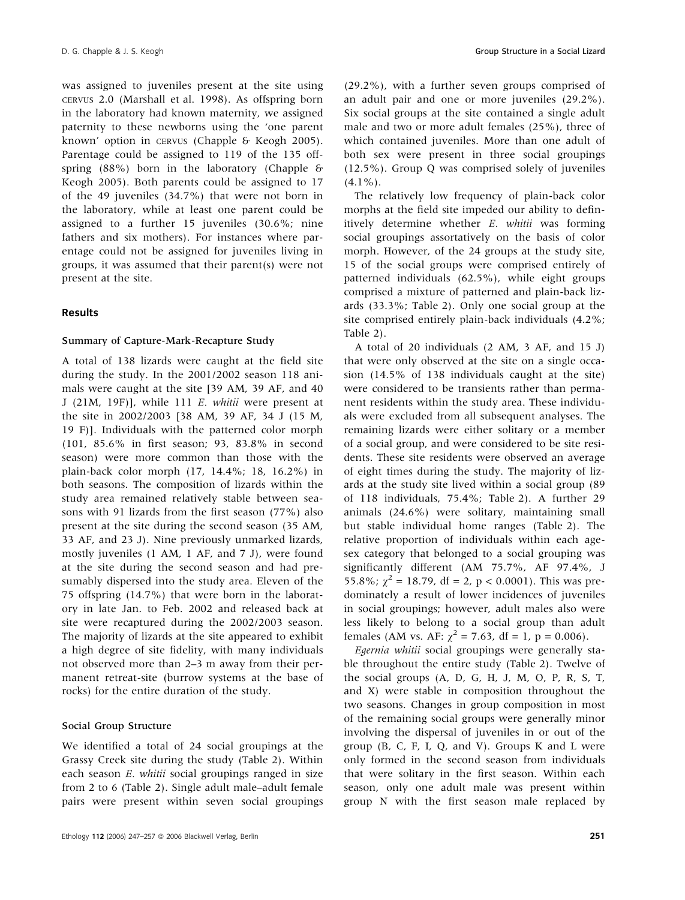was assigned to juveniles present at the site using cervus 2.0 (Marshall et al. 1998). As offspring born in the laboratory had known maternity, we assigned paternity to these newborns using the 'one parent known' option in cervus (Chapple & Keogh 2005). Parentage could be assigned to 119 of the 135 offspring (88%) born in the laboratory (Chapple & Keogh 2005). Both parents could be assigned to 17 of the 49 juveniles (34.7%) that were not born in the laboratory, while at least one parent could be assigned to a further 15 juveniles (30.6%; nine fathers and six mothers). For instances where parentage could not be assigned for juveniles living in groups, it was assumed that their parent(s) were not present at the site.

### Results

#### Summary of Capture-Mark-Recapture Study

A total of 138 lizards were caught at the field site during the study. In the 2001/2002 season 118 animals were caught at the site [39 AM, 39 AF, and 40 J (21M, 19F)], while 111 E. whitii were present at the site in 2002/2003 [38 AM, 39 AF, 34 J (15 M, 19 F)]. Individuals with the patterned color morph (101, 85.6% in first season; 93, 83.8% in second season) were more common than those with the plain-back color morph (17, 14.4%; 18, 16.2%) in both seasons. The composition of lizards within the study area remained relatively stable between seasons with 91 lizards from the first season (77%) also present at the site during the second season (35 AM, 33 AF, and 23 J). Nine previously unmarked lizards, mostly juveniles (1 AM, 1 AF, and 7 J), were found at the site during the second season and had presumably dispersed into the study area. Eleven of the 75 offspring (14.7%) that were born in the laboratory in late Jan. to Feb. 2002 and released back at site were recaptured during the 2002/2003 season. The majority of lizards at the site appeared to exhibit a high degree of site fidelity, with many individuals not observed more than 2–3 m away from their permanent retreat-site (burrow systems at the base of rocks) for the entire duration of the study.

#### Social Group Structure

We identified a total of 24 social groupings at the Grassy Creek site during the study (Table 2). Within each season E. whitii social groupings ranged in size from 2 to 6 (Table 2). Single adult male–adult female pairs were present within seven social groupings

(29.2%), with a further seven groups comprised of an adult pair and one or more juveniles (29.2%). Six social groups at the site contained a single adult male and two or more adult females (25%), three of which contained juveniles. More than one adult of both sex were present in three social groupings (12.5%). Group Q was comprised solely of juveniles  $(4.1\%)$ .

The relatively low frequency of plain-back color morphs at the field site impeded our ability to definitively determine whether E. whitii was forming social groupings assortatively on the basis of color morph. However, of the 24 groups at the study site, 15 of the social groups were comprised entirely of patterned individuals (62.5%), while eight groups comprised a mixture of patterned and plain-back lizards (33.3%; Table 2). Only one social group at the site comprised entirely plain-back individuals (4.2%; Table 2).

A total of 20 individuals (2 AM, 3 AF, and 15 J) that were only observed at the site on a single occasion (14.5% of 138 individuals caught at the site) were considered to be transients rather than permanent residents within the study area. These individuals were excluded from all subsequent analyses. The remaining lizards were either solitary or a member of a social group, and were considered to be site residents. These site residents were observed an average of eight times during the study. The majority of lizards at the study site lived within a social group (89 of 118 individuals, 75.4%; Table 2). A further 29 animals (24.6%) were solitary, maintaining small but stable individual home ranges (Table 2). The relative proportion of individuals within each agesex category that belonged to a social grouping was significantly different (AM 75.7%, AF 97.4%, J 55.8%;  $\chi^2 = 18.79$ , df = 2, p < 0.0001). This was predominately a result of lower incidences of juveniles in social groupings; however, adult males also were less likely to belong to a social group than adult females (AM vs. AF:  $\chi^2$  = 7.63, df = 1, p = 0.006).

Egernia whitii social groupings were generally stable throughout the entire study (Table 2). Twelve of the social groups (A, D, G, H, J, M, O, P, R, S, T, and X) were stable in composition throughout the two seasons. Changes in group composition in most of the remaining social groups were generally minor involving the dispersal of juveniles in or out of the group (B, C, F, I, Q, and V). Groups K and L were only formed in the second season from individuals that were solitary in the first season. Within each season, only one adult male was present within group N with the first season male replaced by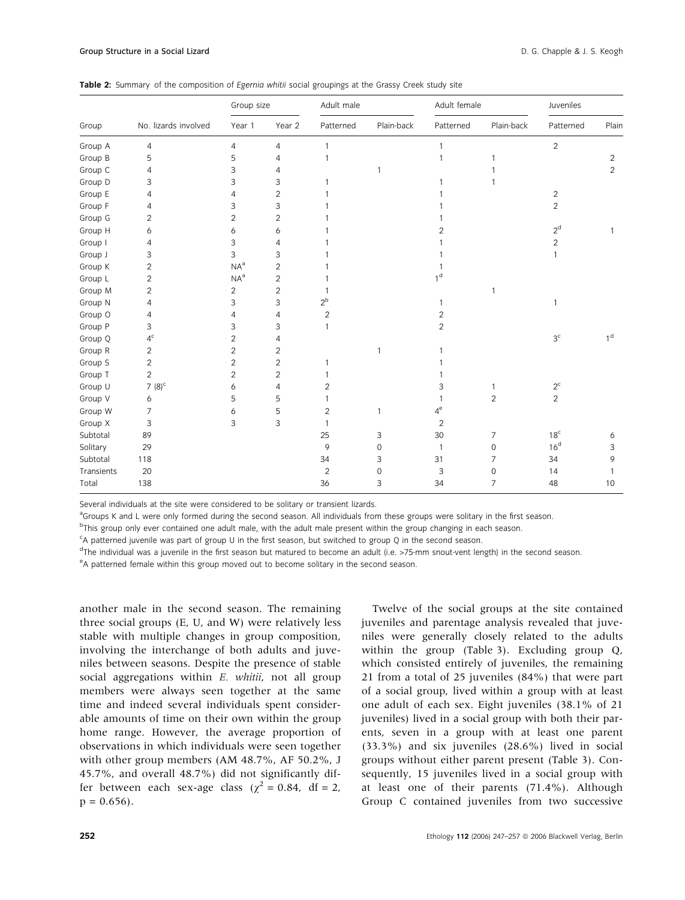| Group      | No. lizards involved | Group size      |                | Adult male     |              | Adult female   |                | Juveniles        |                |
|------------|----------------------|-----------------|----------------|----------------|--------------|----------------|----------------|------------------|----------------|
|            |                      | Year 1          | Year 2         | Patterned      | Plain-back   | Patterned      | Plain-back     | Patterned        | Plain          |
| Group A    | $\overline{4}$       | $\overline{4}$  | 4              | $\mathbf{1}$   |              | $\mathbf{1}$   |                | $\overline{c}$   |                |
| Group B    | 5                    | 5               | 4              | $\mathbf{1}$   |              | $\mathbf{1}$   |                |                  | $\overline{2}$ |
| Group C    | $\overline{4}$       | 3               | 4              |                | -1           |                |                |                  | $\overline{c}$ |
| Group D    | 3                    | 3               | 3              | 1              |              |                |                |                  |                |
| Group E    | 4                    | 4               | $\overline{2}$ |                |              |                |                | $\overline{c}$   |                |
| Group F    | $\overline{4}$       | 3               | 3              |                |              |                |                | $\overline{c}$   |                |
| Group G    | $\overline{2}$       | $\overline{2}$  | $\overline{2}$ |                |              |                |                |                  |                |
| Group H    | 6                    | 6               | 6              | 1              |              | $\overline{2}$ |                | 2 <sup>d</sup>   | 1              |
| Group I    | $\overline{4}$       | 3               | $\overline{4}$ |                |              |                |                | $\overline{c}$   |                |
| Group J    | 3                    | 3               | 3              |                |              |                |                | 1                |                |
| Group K    | $\overline{2}$       | NA <sup>a</sup> | $\overline{c}$ |                |              |                |                |                  |                |
| Group L    | $\overline{c}$       | NA <sup>a</sup> | $\overline{c}$ | 1              |              | 1 <sup>d</sup> |                |                  |                |
| Group M    | $\overline{2}$       | 2               | $\overline{c}$ | 1              |              |                | 1              |                  |                |
| Group N    | $\overline{4}$       | 3               | 3              | $2^{\rm b}$    |              | 1              |                | $\mathbf{1}$     |                |
| Group O    | $\overline{4}$       | $\overline{4}$  | $\overline{4}$ | $\overline{c}$ |              | $\overline{2}$ |                |                  |                |
| Group P    | 3                    | 3               | 3              | $\mathbf{1}$   |              | $\overline{c}$ |                |                  |                |
| Group Q    | 4 <sup>c</sup>       | $\overline{2}$  | 4              |                |              |                |                | $3^{\circ}$      | 1 <sup>d</sup> |
| Group R    | $\overline{c}$       | $\overline{c}$  | $\overline{c}$ |                | $\mathbf{1}$ |                |                |                  |                |
| Group S    | $\overline{2}$       | $\overline{2}$  | $\overline{c}$ | 1              |              |                |                |                  |                |
| Group T    | $\overline{2}$       | $\overline{c}$  | $\overline{c}$ | 1              |              |                |                |                  |                |
| Group U    | 7 $(8)^c$            | 6               | 4              | 2              |              | 3              | 1              | $2^{\mathsf{c}}$ |                |
| Group V    | 6                    | 5               | 5              | 1              |              |                | $\overline{c}$ | $\overline{c}$   |                |
| Group W    | 7                    | 6               | 5              | $\overline{c}$ | $\mathbf{1}$ | $4^e$          |                |                  |                |
| Group X    | 3                    | 3               | 3              | 1              |              | $\overline{2}$ |                |                  |                |
| Subtotal   | 89                   |                 |                | 25             | 3            | 30             | 7              | 18 <sup>c</sup>  | 6              |
| Solitary   | 29                   |                 |                | 9              | $\mathbf 0$  | $\mathbf{1}$   | 0              | 16 <sup>d</sup>  | 3              |
| Subtotal   | 118                  |                 |                | 34             | 3            | 31             | 7              | 34               | 9              |
| Transients | 20                   |                 |                | $\overline{c}$ | $\mathbf 0$  | $\mathsf 3$    | 0              | 14               | 1              |
| Total      | 138                  |                 |                | 36             | 3            | 34             | 7              | 48               | 10             |

|  | Table 2: Summary of the composition of Egernia whitii social groupings at the Grassy Creek study site |  |  |  |  |
|--|-------------------------------------------------------------------------------------------------------|--|--|--|--|
|--|-------------------------------------------------------------------------------------------------------|--|--|--|--|

Several individuals at the site were considered to be solitary or transient lizards.

aGroups K and L were only formed during the second season. All individuals from these groups were solitary in the first season.

<sup>b</sup>This group only ever contained one adult male, with the adult male present within the group changing in each season.

<sup>c</sup>A patterned juvenile was part of group U in the first season, but switched to group Q in the second season.

<sup>d</sup>The individual was a juvenile in the first season but matured to become an adult (i.e. >75-mm snout-vent length) in the second season.

<sup>e</sup>A patterned female within this group moved out to become solitary in the second season.

another male in the second season. The remaining three social groups (E, U, and W) were relatively less stable with multiple changes in group composition, involving the interchange of both adults and juveniles between seasons. Despite the presence of stable social aggregations within E. whitii, not all group members were always seen together at the same time and indeed several individuals spent considerable amounts of time on their own within the group home range. However, the average proportion of observations in which individuals were seen together with other group members (AM 48.7%, AF 50.2%, J 45.7%, and overall 48.7%) did not significantly differ between each sex-age class ( $\chi^2$  = 0.84, df = 2,  $p = 0.656$ .

Twelve of the social groups at the site contained juveniles and parentage analysis revealed that juveniles were generally closely related to the adults within the group (Table 3). Excluding group Q, which consisted entirely of juveniles, the remaining 21 from a total of 25 juveniles (84%) that were part of a social group, lived within a group with at least one adult of each sex. Eight juveniles (38.1% of 21 juveniles) lived in a social group with both their parents, seven in a group with at least one parent (33.3%) and six juveniles (28.6%) lived in social groups without either parent present (Table 3). Consequently, 15 juveniles lived in a social group with at least one of their parents (71.4%). Although Group C contained juveniles from two successive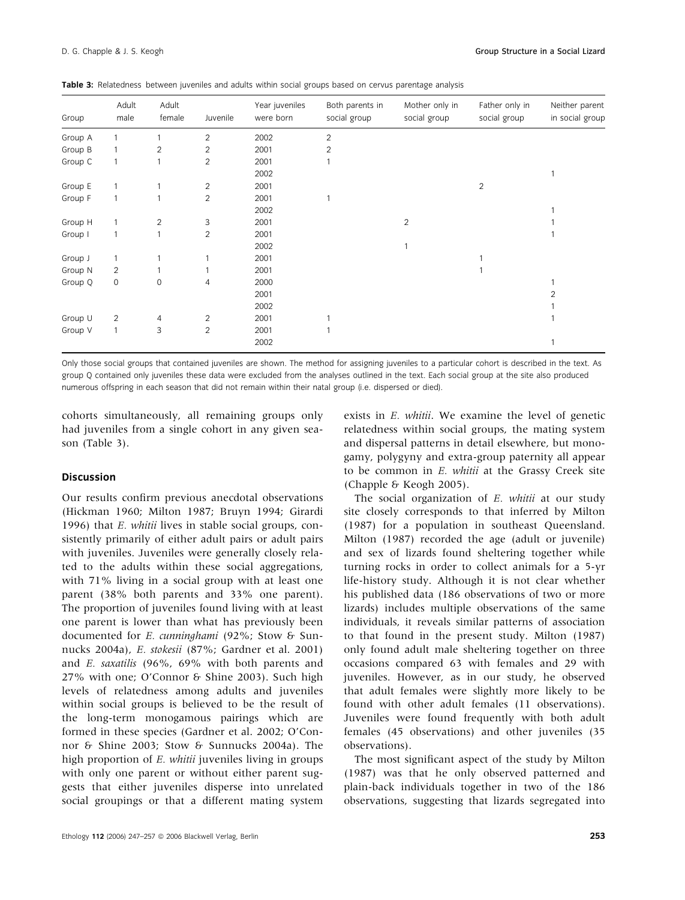| Group   | Adult<br>male  | Adult<br>female | Juvenile       | Year juveniles<br>were born | Both parents in<br>social group | Mother only in<br>social group | Father only in<br>social group | Neither parent<br>in social group |
|---------|----------------|-----------------|----------------|-----------------------------|---------------------------------|--------------------------------|--------------------------------|-----------------------------------|
| Group A |                |                 | $\overline{c}$ | 2002                        | $\overline{c}$                  |                                |                                |                                   |
| Group B |                | 2               | $\overline{c}$ | 2001                        | 2                               |                                |                                |                                   |
| Group C | $\mathbf{1}$   |                 | $\overline{2}$ | 2001                        |                                 |                                |                                |                                   |
|         |                |                 |                | 2002                        |                                 |                                |                                |                                   |
| Group E |                |                 | $\overline{c}$ | 2001                        |                                 |                                | $\overline{2}$                 |                                   |
| Group F | $\mathbf{1}$   |                 | $\overline{c}$ | 2001                        |                                 |                                |                                |                                   |
|         |                |                 |                | 2002                        |                                 |                                |                                |                                   |
| Group H |                | 2               | 3              | 2001                        |                                 | 2                              |                                |                                   |
| Group I | $\mathbf{1}$   |                 | $\overline{2}$ | 2001                        |                                 |                                |                                |                                   |
|         |                |                 |                | 2002                        |                                 |                                |                                |                                   |
| Group J |                |                 |                | 2001                        |                                 |                                |                                |                                   |
| Group N | $\overline{2}$ |                 |                | 2001                        |                                 |                                |                                |                                   |
| Group Q | $\mathbf 0$    | $\mathbf 0$     | $\overline{4}$ | 2000                        |                                 |                                |                                |                                   |
|         |                |                 |                | 2001                        |                                 |                                |                                | $\mathfrak{p}$                    |
|         |                |                 |                | 2002                        |                                 |                                |                                |                                   |
| Group U | 2              | $\overline{4}$  | $\overline{c}$ | 2001                        |                                 |                                |                                |                                   |
| Group V | $\mathbf{1}$   | 3               | $\overline{2}$ | 2001                        |                                 |                                |                                |                                   |
|         |                |                 |                | 2002                        |                                 |                                |                                |                                   |

Only those social groups that contained juveniles are shown. The method for assigning juveniles to a particular cohort is described in the text. As group Q contained only juveniles these data were excluded from the analyses outlined in the text. Each social group at the site also produced numerous offspring in each season that did not remain within their natal group (i.e. dispersed or died).

cohorts simultaneously, all remaining groups only had juveniles from a single cohort in any given season (Table 3).

## Discussion

Our results confirm previous anecdotal observations (Hickman 1960; Milton 1987; Bruyn 1994; Girardi 1996) that E. whitii lives in stable social groups, consistently primarily of either adult pairs or adult pairs with juveniles. Juveniles were generally closely related to the adults within these social aggregations, with 71% living in a social group with at least one parent (38% both parents and 33% one parent). The proportion of juveniles found living with at least one parent is lower than what has previously been documented for E. cunninghami (92%; Stow & Sunnucks 2004a), E. stokesii (87%; Gardner et al. 2001) and E. saxatilis (96%, 69% with both parents and 27% with one; O'Connor & Shine 2003). Such high levels of relatedness among adults and juveniles within social groups is believed to be the result of the long-term monogamous pairings which are formed in these species (Gardner et al. 2002; O'Connor & Shine 2003; Stow & Sunnucks 2004a). The high proportion of E. whitii juveniles living in groups with only one parent or without either parent suggests that either juveniles disperse into unrelated social groupings or that a different mating system

exists in  $E$ . *whitii*. We examine the level of genetic relatedness within social groups, the mating system and dispersal patterns in detail elsewhere, but monogamy, polygyny and extra-group paternity all appear to be common in  $E$ . whitii at the Grassy Creek site (Chapple & Keogh 2005).

The social organization of  $E$ . whitii at our study site closely corresponds to that inferred by Milton (1987) for a population in southeast Queensland. Milton (1987) recorded the age (adult or juvenile) and sex of lizards found sheltering together while turning rocks in order to collect animals for a 5-yr life-history study. Although it is not clear whether his published data (186 observations of two or more lizards) includes multiple observations of the same individuals, it reveals similar patterns of association to that found in the present study. Milton (1987) only found adult male sheltering together on three occasions compared 63 with females and 29 with juveniles. However, as in our study, he observed that adult females were slightly more likely to be found with other adult females (11 observations). Juveniles were found frequently with both adult females (45 observations) and other juveniles (35 observations).

The most significant aspect of the study by Milton (1987) was that he only observed patterned and plain-back individuals together in two of the 186 observations, suggesting that lizards segregated into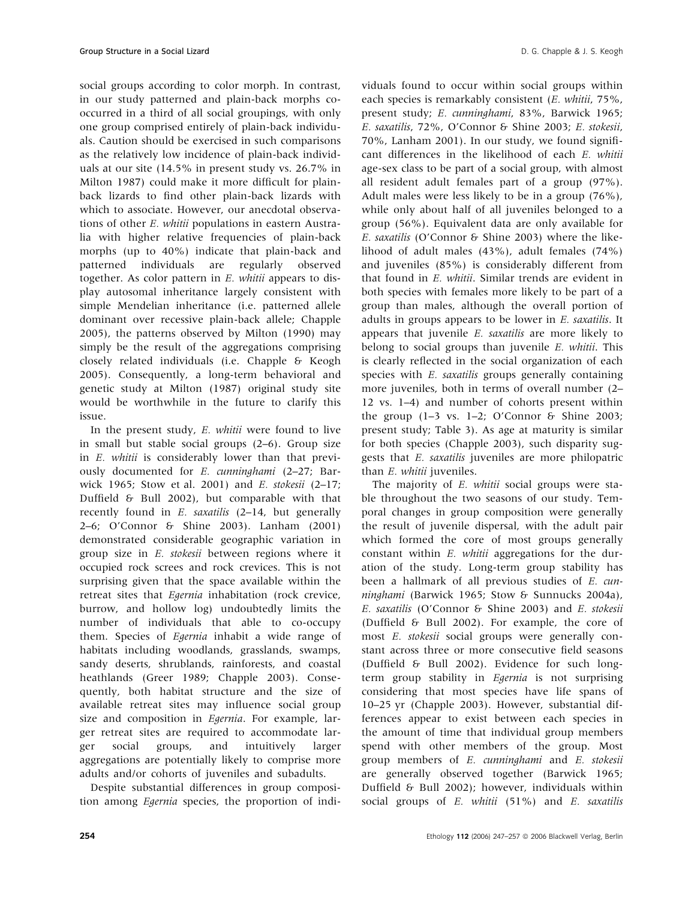social groups according to color morph. In contrast, in our study patterned and plain-back morphs cooccurred in a third of all social groupings, with only one group comprised entirely of plain-back individuals. Caution should be exercised in such comparisons as the relatively low incidence of plain-back individuals at our site (14.5% in present study vs. 26.7% in Milton 1987) could make it more difficult for plainback lizards to find other plain-back lizards with which to associate. However, our anecdotal observations of other E. whitii populations in eastern Australia with higher relative frequencies of plain-back morphs (up to 40%) indicate that plain-back and patterned individuals are regularly observed together. As color pattern in E. whitii appears to display autosomal inheritance largely consistent with simple Mendelian inheritance (i.e. patterned allele dominant over recessive plain-back allele; Chapple 2005), the patterns observed by Milton (1990) may simply be the result of the aggregations comprising closely related individuals (i.e. Chapple & Keogh 2005). Consequently, a long-term behavioral and genetic study at Milton (1987) original study site would be worthwhile in the future to clarify this issue.

In the present study, E. whitii were found to live in small but stable social groups (2–6). Group size in E. whitii is considerably lower than that previously documented for E. cunninghami (2–27; Barwick 1965; Stow et al. 2001) and E. stokesii (2–17; Duffield & Bull 2002), but comparable with that recently found in E. saxatilis (2–14, but generally 2–6; O'Connor & Shine 2003). Lanham (2001) demonstrated considerable geographic variation in group size in E. stokesii between regions where it occupied rock screes and rock crevices. This is not surprising given that the space available within the retreat sites that Egernia inhabitation (rock crevice, burrow, and hollow log) undoubtedly limits the number of individuals that able to co-occupy them. Species of Egernia inhabit a wide range of habitats including woodlands, grasslands, swamps, sandy deserts, shrublands, rainforests, and coastal heathlands (Greer 1989; Chapple 2003). Consequently, both habitat structure and the size of available retreat sites may influence social group size and composition in Egernia. For example, larger retreat sites are required to accommodate larger social groups, and intuitively larger aggregations are potentially likely to comprise more adults and/or cohorts of juveniles and subadults.

Despite substantial differences in group composition among Egernia species, the proportion of indi-

viduals found to occur within social groups within each species is remarkably consistent (E. whitii, 75%, present study; E. cunninghami, 83%, Barwick 1965; E. saxatilis, 72%, O'Connor & Shine 2003; E. stokesii, 70%, Lanham 2001). In our study, we found significant differences in the likelihood of each E. whitii age-sex class to be part of a social group, with almost all resident adult females part of a group (97%). Adult males were less likely to be in a group (76%), while only about half of all juveniles belonged to a group (56%). Equivalent data are only available for E. saxatilis (O'Connor & Shine 2003) where the likelihood of adult males (43%), adult females (74%) and juveniles (85%) is considerably different from that found in E. whitii. Similar trends are evident in both species with females more likely to be part of a group than males, although the overall portion of adults in groups appears to be lower in  $E$ . saxatilis. It appears that juvenile E. saxatilis are more likely to belong to social groups than juvenile *E. whitii*. This is clearly reflected in the social organization of each species with *E. saxatilis* groups generally containing more juveniles, both in terms of overall number (2– 12 vs. 1–4) and number of cohorts present within the group  $(1-3 \text{ vs. } 1-2; \text{ O}^{\prime}\text{Comnor } 6 \text{ Shine } 2003;$ present study; Table 3). As age at maturity is similar for both species (Chapple 2003), such disparity suggests that E. saxatilis juveniles are more philopatric than E. whitii juveniles.

The majority of E. whitii social groups were stable throughout the two seasons of our study. Temporal changes in group composition were generally the result of juvenile dispersal, with the adult pair which formed the core of most groups generally constant within E. whitii aggregations for the duration of the study. Long-term group stability has been a hallmark of all previous studies of E. cunninghami (Barwick 1965; Stow & Sunnucks 2004a), E. saxatilis (O'Connor & Shine 2003) and E. stokesii (Duffield & Bull 2002). For example, the core of most E. stokesii social groups were generally constant across three or more consecutive field seasons (Duffield & Bull 2002). Evidence for such longterm group stability in Egernia is not surprising considering that most species have life spans of 10–25 yr (Chapple 2003). However, substantial differences appear to exist between each species in the amount of time that individual group members spend with other members of the group. Most group members of E. cunninghami and E. stokesii are generally observed together (Barwick 1965; Duffield & Bull 2002); however, individuals within social groups of E. whitii (51%) and E. saxatilis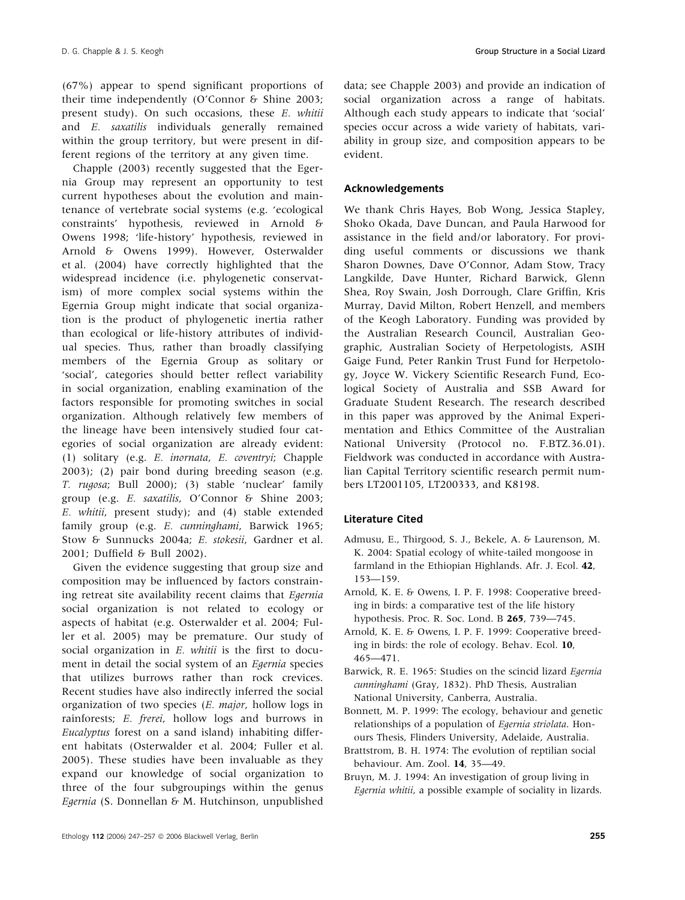(67%) appear to spend significant proportions of their time independently (O'Connor & Shine 2003; present study). On such occasions, these E. whitii and E. saxatilis individuals generally remained within the group territory, but were present in different regions of the territory at any given time.

Chapple (2003) recently suggested that the Egernia Group may represent an opportunity to test current hypotheses about the evolution and maintenance of vertebrate social systems (e.g. 'ecological constraints' hypothesis, reviewed in Arnold & Owens 1998; 'life-history' hypothesis, reviewed in Arnold & Owens 1999). However, Osterwalder et al. (2004) have correctly highlighted that the widespread incidence (i.e. phylogenetic conservatism) of more complex social systems within the Egernia Group might indicate that social organization is the product of phylogenetic inertia rather than ecological or life-history attributes of individual species. Thus, rather than broadly classifying members of the Egernia Group as solitary or 'social', categories should better reflect variability in social organization, enabling examination of the factors responsible for promoting switches in social organization. Although relatively few members of the lineage have been intensively studied four categories of social organization are already evident: (1) solitary (e.g. E. inornata, E. coventryi; Chapple 2003); (2) pair bond during breeding season (e.g. T. rugosa; Bull 2000); (3) stable 'nuclear' family group (e.g. E. saxatilis, O'Connor & Shine 2003; E. whitii, present study); and (4) stable extended family group (e.g. E. cunninghami, Barwick 1965; Stow & Sunnucks 2004a; E. stokesii, Gardner et al. 2001; Duffield & Bull 2002).

Given the evidence suggesting that group size and composition may be influenced by factors constraining retreat site availability recent claims that Egernia social organization is not related to ecology or aspects of habitat (e.g. Osterwalder et al. 2004; Fuller et al. 2005) may be premature. Our study of social organization in E. whitii is the first to document in detail the social system of an Egernia species that utilizes burrows rather than rock crevices. Recent studies have also indirectly inferred the social organization of two species (E. major, hollow logs in rainforests; E. frerei, hollow logs and burrows in Eucalyptus forest on a sand island) inhabiting different habitats (Osterwalder et al. 2004; Fuller et al. 2005). These studies have been invaluable as they expand our knowledge of social organization to three of the four subgroupings within the genus Egernia (S. Donnellan & M. Hutchinson, unpublished

data; see Chapple 2003) and provide an indication of social organization across a range of habitats. Although each study appears to indicate that 'social' species occur across a wide variety of habitats, variability in group size, and composition appears to be evident.

## Acknowledgements

We thank Chris Hayes, Bob Wong, Jessica Stapley, Shoko Okada, Dave Duncan, and Paula Harwood for assistance in the field and/or laboratory. For providing useful comments or discussions we thank Sharon Downes, Dave O'Connor, Adam Stow, Tracy Langkilde, Dave Hunter, Richard Barwick, Glenn Shea, Roy Swain, Josh Dorrough, Clare Griffin, Kris Murray, David Milton, Robert Henzell, and members of the Keogh Laboratory. Funding was provided by the Australian Research Council, Australian Geographic, Australian Society of Herpetologists, ASIH Gaige Fund, Peter Rankin Trust Fund for Herpetology, Joyce W. Vickery Scientific Research Fund, Ecological Society of Australia and SSB Award for Graduate Student Research. The research described in this paper was approved by the Animal Experimentation and Ethics Committee of the Australian National University (Protocol no. F.BTZ.36.01). Fieldwork was conducted in accordance with Australian Capital Territory scientific research permit numbers LT2001105, LT200333, and K8198.

## Literature Cited

- Admusu, E., Thirgood, S. J., Bekele, A. & Laurenson, M. K. 2004: Spatial ecology of white-tailed mongoose in farmland in the Ethiopian Highlands. Afr. J. Ecol. 42, 153—159.
- Arnold, K. E. & Owens, I. P. F. 1998: Cooperative breeding in birds: a comparative test of the life history hypothesis. Proc. R. Soc. Lond. B 265, 739—745.
- Arnold, K. E. & Owens, I. P. F. 1999: Cooperative breeding in birds: the role of ecology. Behav. Ecol. 10, 465—471.
- Barwick, R. E. 1965: Studies on the scincid lizard Egernia cunninghami (Gray, 1832). PhD Thesis, Australian National University, Canberra, Australia.
- Bonnett, M. P. 1999: The ecology, behaviour and genetic relationships of a population of Egernia striolata. Honours Thesis, Flinders University, Adelaide, Australia.
- Brattstrom, B. H. 1974: The evolution of reptilian social behaviour. Am. Zool. 14, 35—49.
- Bruyn, M. J. 1994: An investigation of group living in Egernia whitii, a possible example of sociality in lizards.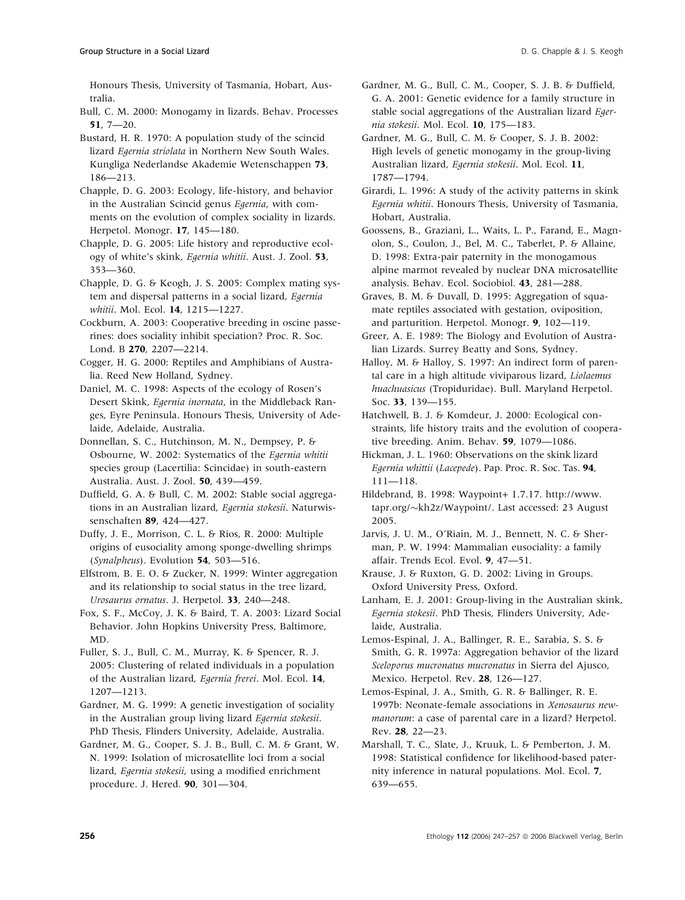Honours Thesis, University of Tasmania, Hobart, Australia.

Bull, C. M. 2000: Monogamy in lizards. Behav. Processes 51, 7—20.

Bustard, H. R. 1970: A population study of the scincid lizard Egernia striolata in Northern New South Wales. Kungliga Nederlandse Akademie Wetenschappen 73, 186—213.

Chapple, D. G. 2003: Ecology, life-history, and behavior in the Australian Scincid genus Egernia, with comments on the evolution of complex sociality in lizards. Herpetol. Monogr. 17, 145—180.

Chapple, D. G. 2005: Life history and reproductive ecology of white's skink, Egernia whitii. Aust. J. Zool. 53, 353—360.

Chapple, D. G. & Keogh, J. S. 2005: Complex mating system and dispersal patterns in a social lizard, Egernia whitii. Mol. Ecol. 14, 1215—1227.

Cockburn, A. 2003: Cooperative breeding in oscine passerines: does sociality inhibit speciation? Proc. R. Soc. Lond. B 270, 2207—2214.

Cogger, H. G. 2000: Reptiles and Amphibians of Australia. Reed New Holland, Sydney.

Daniel, M. C. 1998: Aspects of the ecology of Rosen's Desert Skink, Egernia inornata, in the Middleback Ranges, Eyre Peninsula. Honours Thesis, University of Adelaide, Adelaide, Australia.

Donnellan, S. C., Hutchinson, M. N., Dempsey, P. & Osbourne, W. 2002: Systematics of the Egernia whitii species group (Lacertilia: Scincidae) in south-eastern Australia. Aust. J. Zool. 50, 439—459.

Duffield, G. A. & Bull, C. M. 2002: Stable social aggregations in an Australian lizard, Egernia stokesii. Naturwissenschaften 89, 424—427.

Duffy, J. E., Morrison, C. L. & Rios, R. 2000: Multiple origins of eusociality among sponge-dwelling shrimps (Synalpheus). Evolution 54, 503—516.

Elfstrom, B. E. O. & Zucker, N. 1999: Winter aggregation and its relationship to social status in the tree lizard, Urosaurus ornatus. J. Herpetol. 33, 240—248.

Fox, S. F., McCoy, J. K. & Baird, T. A. 2003: Lizard Social Behavior. John Hopkins University Press, Baltimore, MD.

Fuller, S. J., Bull, C. M., Murray, K. & Spencer, R. J. 2005: Clustering of related individuals in a population of the Australian lizard, Egernia frerei. Mol. Ecol. 14, 1207—1213.

Gardner, M. G. 1999: A genetic investigation of sociality in the Australian group living lizard Egernia stokesii. PhD Thesis, Flinders University, Adelaide, Australia.

Gardner, M. G., Cooper, S. J. B., Bull, C. M. & Grant, W. N. 1999: Isolation of microsatellite loci from a social lizard, Egernia stokesii, using a modified enrichment procedure. J. Hered. 90, 301—304.

Gardner, M. G., Bull, C. M., Cooper, S. J. B. & Duffield, G. A. 2001: Genetic evidence for a family structure in stable social aggregations of the Australian lizard Egernia stokesii. Mol. Ecol. 10, 175—183.

Gardner, M. G., Bull, C. M. & Cooper, S. J. B. 2002: High levels of genetic monogamy in the group-living Australian lizard, Egernia stokesii. Mol. Ecol. 11, 1787—1794.

Girardi, L. 1996: A study of the activity patterns in skink Egernia whitii. Honours Thesis, University of Tasmania, Hobart, Australia.

Goossens, B., Graziani, L., Waits, L. P., Farand, E., Magnolon, S., Coulon, J., Bel, M. C., Taberlet, P. & Allaine, D. 1998: Extra-pair paternity in the monogamous alpine marmot revealed by nuclear DNA microsatellite analysis. Behav. Ecol. Sociobiol. 43, 281—288.

Graves, B. M. & Duvall, D. 1995: Aggregation of squamate reptiles associated with gestation, oviposition, and parturition. Herpetol. Monogr. 9, 102—119.

Greer, A. E. 1989: The Biology and Evolution of Australian Lizards. Surrey Beatty and Sons, Sydney.

Halloy, M. & Halloy, S. 1997: An indirect form of parental care in a high altitude viviparous lizard, Liolaemus huachuasicus (Tropiduridae). Bull. Maryland Herpetol. Soc. 33, 139—155.

Hatchwell, B. J. & Komdeur, J. 2000: Ecological constraints, life history traits and the evolution of cooperative breeding. Anim. Behav. 59, 1079—1086.

Hickman, J. L. 1960: Observations on the skink lizard Egernia whittii (Lacepede). Pap. Proc. R. Soc. Tas. 94, 111—118.

Hildebrand, B. 1998: Waypoint+ 1.7.17. http://www. tapr.org/-kh2z/Waypoint/. Last accessed: 23 August 2005.

Jarvis, J. U. M., O'Riain, M. J., Bennett, N. C. & Sherman, P. W. 1994: Mammalian eusociality: a family affair. Trends Ecol. Evol. 9, 47—51.

Krause, J. & Ruxton, G. D. 2002: Living in Groups. Oxford University Press, Oxford.

Lanham, E. J. 2001: Group-living in the Australian skink, Egernia stokesii. PhD Thesis, Flinders University, Adelaide, Australia.

Lemos-Espinal, J. A., Ballinger, R. E., Sarabia, S. S. & Smith, G. R. 1997a: Aggregation behavior of the lizard Sceloporus mucronatus mucronatus in Sierra del Ajusco, Mexico. Herpetol. Rev. 28, 126—127.

Lemos-Espinal, J. A., Smith, G. R. & Ballinger, R. E. 1997b: Neonate-female associations in Xenosaurus newmanorum: a case of parental care in a lizard? Herpetol. Rev. 28, 22—23.

Marshall, T. C., Slate, J., Kruuk, L. & Pemberton, J. M. 1998: Statistical confidence for likelihood-based paternity inference in natural populations. Mol. Ecol. 7, 639—655.